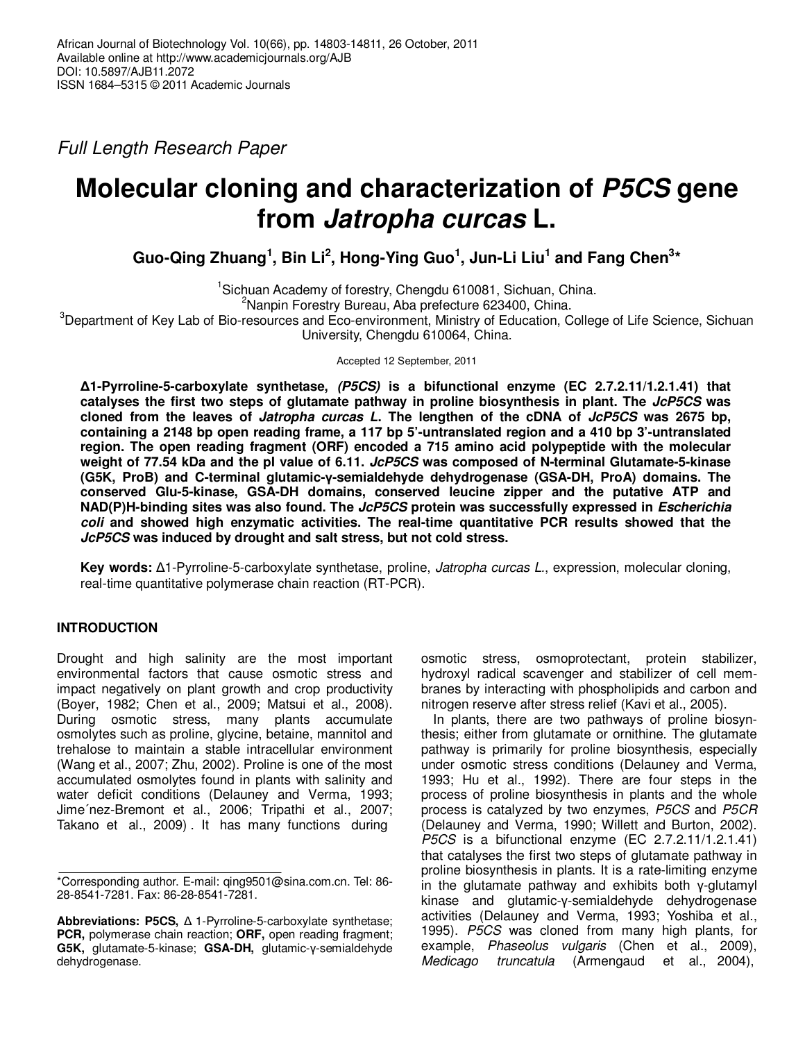Full Length Research Paper

# **Molecular cloning and characterization of P5CS gene from Jatropha curcas L.**

**Guo-Qing Zhuang<sup>1</sup> , Bin Li<sup>2</sup> , Hong-Ying Guo<sup>1</sup> , Jun-Li Liu<sup>1</sup> and Fang Chen<sup>3</sup> \***

<sup>1</sup>Sichuan Academy of forestry, Chengdu 610081, Sichuan, China. <sup>2</sup>Nanpin Forestry Bureau, Aba prefecture 623400, China. <sup>3</sup>Department of Key Lab of Bio-resources and Eco-environment, Ministry of Education, College of Life Science, Sichuan University, Chengdu 610064, China.

Accepted 12 September, 2011

**∆1-Pyrroline-5-carboxylate synthetase, (P5CS) is a bifunctional enzyme (EC 2.7.2.11/1.2.1.41) that catalyses the first two steps of glutamate pathway in proline biosynthesis in plant. The JcP5CS was cloned from the leaves of Jatropha curcas L. The lengthen of the cDNA of JcP5CS was 2675 bp, containing a 2148 bp open reading frame, a 117 bp 5'-untranslated region and a 410 bp 3'-untranslated region. The open reading fragment (ORF) encoded a 715 amino acid polypeptide with the molecular weight of 77.54 kDa and the pI value of 6.11. JcP5CS was composed of N-terminal Glutamate-5-kinase (G5K, ProB) and C-terminal glutamic-γ-semialdehyde dehydrogenase (GSA-DH, ProA) domains. The conserved Glu-5-kinase, GSA-DH domains, conserved leucine zipper and the putative ATP and NAD(P)H-binding sites was also found. The JcP5CS protein was successfully expressed in Escherichia coli and showed high enzymatic activities. The real-time quantitative PCR results showed that the JcP5CS was induced by drought and salt stress, but not cold stress.** 

**Key words:** ∆1-Pyrroline-5-carboxylate synthetase, proline, Jatropha curcas L., expression, molecular cloning, real-time quantitative polymerase chain reaction (RT-PCR).

# **INTRODUCTION**

Drought and high salinity are the most important environmental factors that cause osmotic stress and impact negatively on plant growth and crop productivity (Boyer, 1982; Chen et al., 2009; Matsui et al., 2008). During osmotic stress, many plants accumulate osmolytes such as proline, glycine, betaine, mannitol and trehalose to maintain a stable intracellular environment (Wang et al., 2007; Zhu, 2002). Proline is one of the most accumulated osmolytes found in plants with salinity and water deficit conditions (Delauney and Verma, 1993; Jime´nez-Bremont et al., 2006; Tripathi et al., 2007; Takano et al., 2009) . It has many functions during

osmotic stress, osmoprotectant, protein stabilizer, hydroxyl radical scavenger and stabilizer of cell membranes by interacting with phospholipids and carbon and nitrogen reserve after stress relief (Kavi et al., 2005).

In plants, there are two pathways of proline biosynthesis; either from glutamate or ornithine. The glutamate pathway is primarily for proline biosynthesis, especially under osmotic stress conditions (Delauney and Verma, 1993; Hu et al., 1992). There are four steps in the process of proline biosynthesis in plants and the whole process is catalyzed by two enzymes, P5CS and P5CR (Delauney and Verma, 1990; Willett and Burton, 2002). P5CS is a bifunctional enzyme (EC 2.7.2.11/1.2.1.41) that catalyses the first two steps of glutamate pathway in proline biosynthesis in plants. It is a rate-limiting enzyme in the glutamate pathway and exhibits both γ-glutamyl kinase and glutamic-γ-semialdehyde dehydrogenase activities (Delauney and Verma, 1993; Yoshiba et al., 1995). P5CS was cloned from many high plants, for example, Phaseolus vulgaris (Chen et al., 2009), Medicago truncatula (Armengaud et al., 2004),

<sup>\*</sup>Corresponding author. E-mail: qing9501@sina.com.cn. Tel: 86- 28-8541-7281. Fax: 86-28-8541-7281.

**Abbreviations: P5CS,** ∆ 1-Pyrroline-5-carboxylate synthetase; **PCR,** polymerase chain reaction; **ORF,** open reading fragment; **G5K,** glutamate-5-kinase; **GSA-DH,** glutamic-γ-semialdehyde dehydrogenase.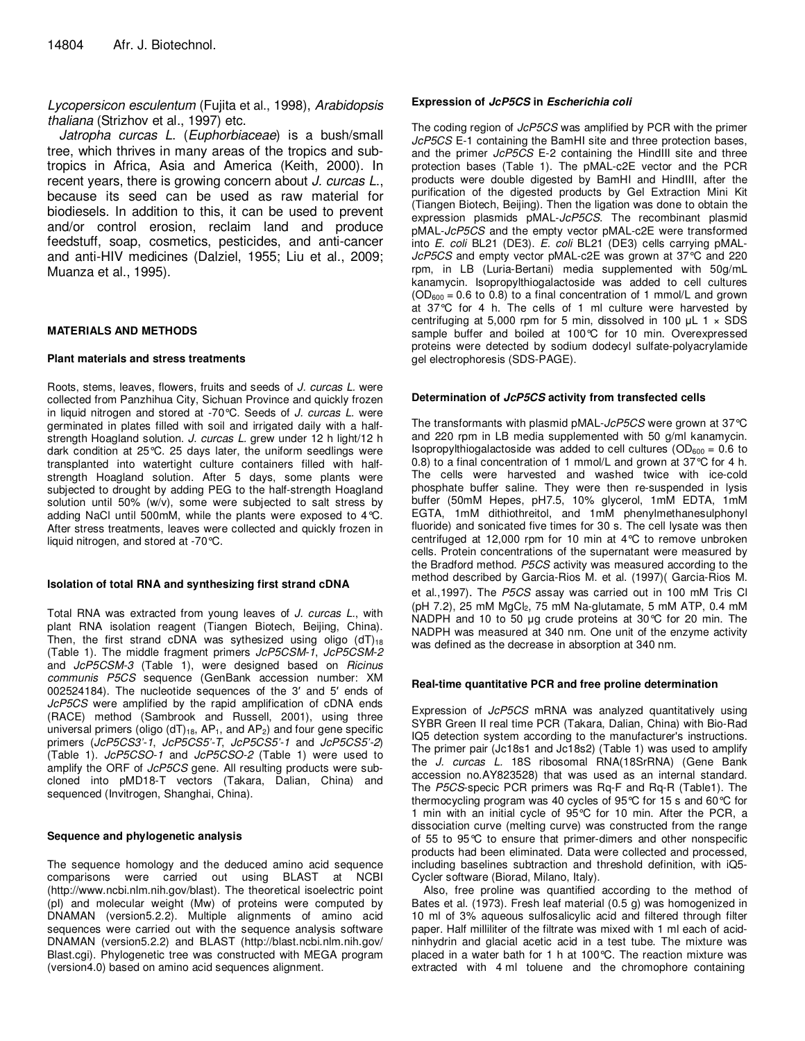Lycopersicon esculentum (Fujita et al., 1998), Arabidopsis thaliana (Strizhov et al., 1997) etc.

Jatropha curcas L. (Euphorbiaceae) is a bush/small tree, which thrives in many areas of the tropics and subtropics in Africa, Asia and America (Keith, 2000). In recent years, there is growing concern about J. curcas L., because its seed can be used as raw material for biodiesels. In addition to this, it can be used to prevent and/or control erosion, reclaim land and produce feedstuff, soap, cosmetics, pesticides, and anti-cancer and anti-HIV medicines (Dalziel, 1955; Liu et al., 2009; Muanza et al., 1995).

## **MATERIALS AND METHODS**

## **Plant materials and stress treatments**

Roots, stems, leaves, flowers, fruits and seeds of J. curcas L. were collected from Panzhihua City, Sichuan Province and quickly frozen in liquid nitrogen and stored at -70°C. Seeds of J. curcas L. were germinated in plates filled with soil and irrigated daily with a halfstrength Hoagland solution. J. curcas L. grew under 12 h light/12 h dark condition at 25°C. 25 days later, the uniform seedlings were transplanted into watertight culture containers filled with halfstrength Hoagland solution. After 5 days, some plants were subjected to drought by adding PEG to the half-strength Hoagland solution until 50% (w/v), some were subjected to salt stress by adding NaCl until 500mM, while the plants were exposed to 4°C. After stress treatments, leaves were collected and quickly frozen in liquid nitrogen, and stored at -70°C.

## **Isolation of total RNA and synthesizing first strand cDNA**

Total RNA was extracted from young leaves of J. curcas L., with plant RNA isolation reagent (Tiangen Biotech, Beijing, China). Then, the first strand cDNA was sythesized using oligo  $(dT)_{18}$ (Table 1). The middle fragment primers JcP5CSM-1, JcP5CSM-2 and JcP5CSM-3 (Table 1), were designed based on Ricinus communis P5CS sequence (GenBank accession number: XM 002524184). The nucleotide sequences of the 3′ and 5′ ends of JcP<sub>5</sub>CS were amplified by the rapid amplification of cDNA ends (RACE) method (Sambrook and Russell, 2001), using three universal primers (oligo (dT)<sub>18</sub>, AP<sub>1</sub>, and AP<sub>2</sub>) and four gene specific primers (JcP5CS3'-1, JcP5CS5'-T, JcP5CS5'-1 and JcP5CS5'-2) (Table 1). JcP5CSO-1 and JcP5CSO-2 (Table 1) were used to amplify the ORF of JcP5CS gene. All resulting products were subcloned into pMD18-T vectors (Takara, Dalian, China) and sequenced (Invitrogen, Shanghai, China).

## **Sequence and phylogenetic analysis**

The sequence homology and the deduced amino acid sequence comparisons were carried out using BLAST at NCBI (http://www.ncbi.nlm.nih.gov/blast). The theoretical isoelectric point (pI) and molecular weight (Mw) of proteins were computed by DNAMAN (version5.2.2). Multiple alignments of amino acid sequences were carried out with the sequence analysis software DNAMAN (version5.2.2) and BLAST (http://blast.ncbi.nlm.nih.gov/ Blast.cgi). Phylogenetic tree was constructed with MEGA program (version4.0) based on amino acid sequences alignment.

### **Expression of JcP5CS in Escherichia coli**

The coding region of JcP5CS was amplified by PCR with the primer JcP5CS E-1 containing the BamHI site and three protection bases, and the primer JcP5CS E-2 containing the Hindill site and three protection bases (Table 1). The pMAL-c2E vector and the PCR products were double digested by BamHI and HindIII, after the purification of the digested products by Gel Extraction Mini Kit (Tiangen Biotech, Beijing). Then the ligation was done to obtain the expression plasmids pMAL-JcP5CS. The recombinant plasmid pMAL-JcP5CS and the empty vector pMAL-c2E were transformed into E. coli BL21 (DE3). E. coli BL21 (DE3) cells carrying pMAL-JcP5CS and empty vector pMAL-c2E was grown at 37°C and 220 rpm, in LB (Luria-Bertani) media supplemented with 50g/mL kanamycin. Isopropylthiogalactoside was added to cell cultures  $(OD<sub>600</sub> = 0.6$  to 0.8) to a final concentration of 1 mmol/L and grown at 37°C for 4 h. The cells of 1 ml culture were harvested by centrifuging at 5,000 rpm for 5 min, dissolved in 100  $\mu$ L 1  $\times$  SDS sample buffer and boiled at 100°C for 10 min. Overexpressed proteins were detected by sodium dodecyl sulfate-polyacrylamide gel electrophoresis (SDS-PAGE).

### **Determination of JcP5CS activity from transfected cells**

The transformants with plasmid pMAL-JcP5CS were grown at 37°C and 220 rpm in LB media supplemented with 50 g/ml kanamycin. Isopropylthiogalactoside was added to cell cultures ( $OD<sub>600</sub> = 0.6$  to 0.8) to a final concentration of 1 mmol/L and grown at 37°C for 4 h. The cells were harvested and washed twice with ice-cold phosphate buffer saline. They were then re-suspended in lysis buffer (50mM Hepes, pH7.5, 10% glycerol, 1mM EDTA, 1mM EGTA, 1mM dithiothreitol, and 1mM phenylmethanesulphonyl fluoride) and sonicated five times for 30 s. The cell lysate was then centrifuged at 12,000 rpm for 10 min at 4°C to remove unbroken cells. Protein concentrations of the supernatant were measured by the Bradford method. P5CS activity was measured according to the method described by Garcia-Rios M. et al. (1997)( Garcia-Rios M. et al.,1997). The P5CS assay was carried out in 100 mM Tris Cl (pH 7.2), 25 mM  $MgCl<sub>2</sub>$ , 75 mM Na-glutamate, 5 mM ATP, 0.4 mM NADPH and 10 to 50 µg crude proteins at 30°C for 20 min. The NADPH was measured at 340 nm. One unit of the enzyme activity was defined as the decrease in absorption at 340 nm.

#### **Real-time quantitative PCR and free proline determination**

Expression of JcP5CS mRNA was analyzed quantitatively using SYBR Green II real time PCR (Takara, Dalian, China) with Bio-Rad IQ5 detection system according to the manufacturer's instructions. The primer pair (Jc18s1 and Jc18s2) (Table 1) was used to amplify the J. curcas L. 18S ribosomal RNA(18SrRNA) (Gene Bank accession no.AY823528) that was used as an internal standard. The P5CS-specic PCR primers was Rq-F and Rq-R (Table1). The thermocycling program was 40 cycles of 95°C for 15 s and 60°C for 1 min with an initial cycle of 95°C for 10 min. After the PCR, a dissociation curve (melting curve) was constructed from the range of 55 to 95°C to ensure that primer-dimers and other nonspecific products had been eliminated. Data were collected and processed, including baselines subtraction and threshold definition, with iQ5- Cycler software (Biorad, Milano, Italy).

Also, free proline was quantified according to the method of Bates et al. (1973). Fresh leaf material (0.5 g) was homogenized in 10 ml of 3% aqueous sulfosalicylic acid and filtered through filter paper. Half milliliter of the filtrate was mixed with 1 ml each of acidninhydrin and glacial acetic acid in a test tube. The mixture was placed in a water bath for 1 h at 100°C. The reaction mixture was extracted with 4 ml toluene and the chromophore containing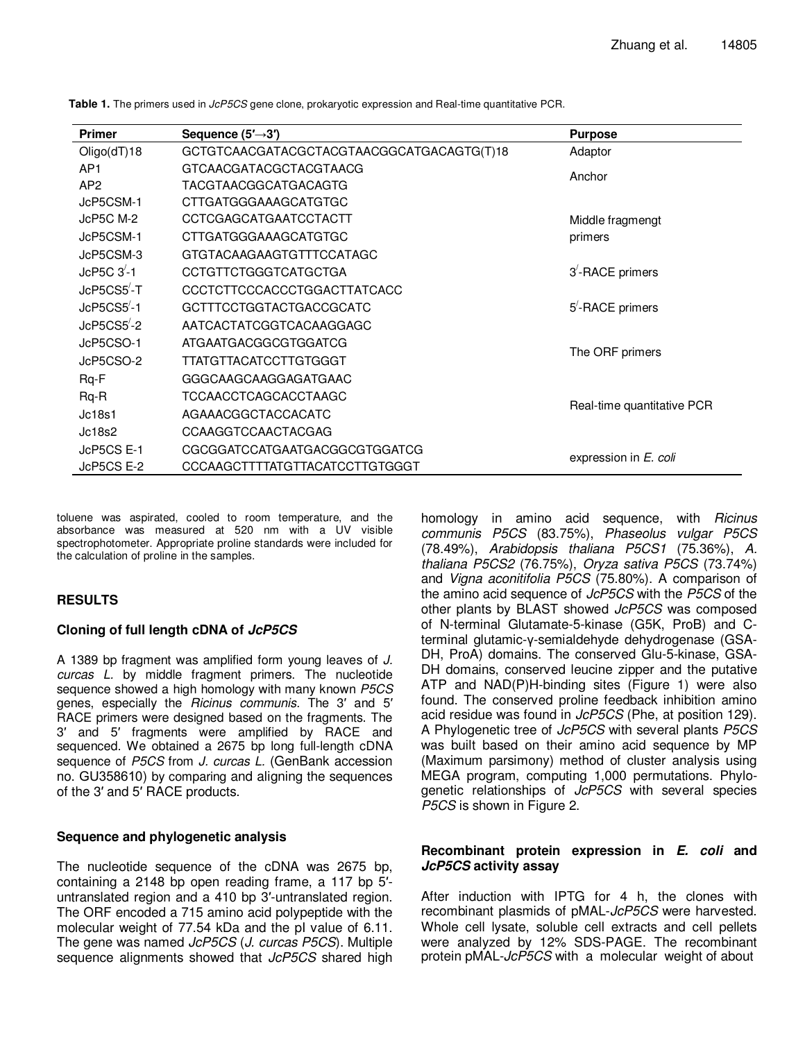| <b>Primer</b>           | Sequence $(5' \rightarrow 3')$            | <b>Purpose</b>               |
|-------------------------|-------------------------------------------|------------------------------|
| Oligo(dT)18             | GCTGTCAACGATACGCTACGTAACGGCATGACAGTG(T)18 | Adaptor                      |
| AP <sub>1</sub>         | GTCAACGATACGCTACGTAACG                    | Anchor                       |
| AP <sub>2</sub>         | <b>TACGTAACGGCATGACAGTG</b>               |                              |
| JcP5CSM-1               | <b>CTTGATGGGAAAGCATGTGC</b>               |                              |
| JcP5C M-2               | <b>CCTCGAGCATGAATCCTACTT</b>              | Middle fragmengt             |
| JcP5CSM-1               | CTTGATGGGAAAGCATGTGC                      | primers                      |
| JcP5CSM-3               | GTGTACAAGAAGTGTTTCCATAGC                  |                              |
| $JcP5C$ $3'$ -1         | <b>CCTGTTCTGGGTCATGCTGA</b>               | 3 <sup>'</sup> -RACE primers |
| JcP5CS5-T               | CCCTCTTCCCACCCTGGACTTATCACC               |                              |
| $JcP5CS5'$ -1           | GCTTTCCTGGTACTGACCGCATC                   | 5 <sup>'</sup> -RACE primers |
| JcP5CS5 <sup>'</sup> -2 | AATCACTATCGGTCACAAGGAGC                   |                              |
| JcP5CSO-1               | ATGAATGACGGCGTGGATCG                      | The ORF primers              |
| JcP5CSO-2               | TTATGTTACATCCTTGTGGGT                     |                              |
| Rq-F                    | GGGCAAGCAAGGAGATGAAC                      |                              |
| $Rq-R$                  | TCCAACCTCAGCACCTAAGC                      | Real-time quantitative PCR   |
| Jc18s1                  | AGAAACGGCTACCACATC                        |                              |
| Jc18s2                  | <b>CCAAGGTCCAACTACGAG</b>                 |                              |
| JcP5CS E-1              | CGCGGATCCATGAATGACGGCGTGGATCG             | expression in E. coli        |
| JcP5CS E-2              | CCCAAGCTTTTATGTTACATCCTTGTGGGT            |                              |

**Table 1.** The primers used in JcP5CS gene clone, prokaryotic expression and Real-time quantitative PCR.

toluene was aspirated, cooled to room temperature, and the absorbance was measured at 520 nm with a UV visible spectrophotometer. Appropriate proline standards were included for the calculation of proline in the samples.

# **RESULTS**

# **Cloning of full length cDNA of JcP5CS**

A 1389 bp fragment was amplified form young leaves of J. curcas L. by middle fragment primers. The nucleotide sequence showed a high homology with many known P5CS genes, especially the Ricinus communis. The 3′ and 5′ RACE primers were designed based on the fragments. The 3′ and 5′ fragments were amplified by RACE and sequenced. We obtained a 2675 bp long full-length cDNA sequence of P5CS from J. curcas L. (GenBank accession no. GU358610) by comparing and aligning the sequences of the 3′ and 5′ RACE products.

# **Sequence and phylogenetic analysis**

The nucleotide sequence of the cDNA was 2675 bp, containing a 2148 bp open reading frame, a 117 bp 5′ untranslated region and a 410 bp 3′-untranslated region. The ORF encoded a 715 amino acid polypeptide with the molecular weight of 77.54 kDa and the pI value of 6.11. The gene was named JcP5CS (J. curcas P5CS). Multiple sequence alignments showed that JcP5CS shared high homology in amino acid sequence, with Ricinus communis P5CS (83.75%), Phaseolus vulgar P5CS (78.49%), Arabidopsis thaliana P5CS1 (75.36%), A. thaliana P5CS2 (76.75%), Oryza sativa P5CS (73.74%) and Vigna aconitifolia P5CS (75.80%). A comparison of the amino acid sequence of JcP5CS with the P5CS of the other plants by BLAST showed JcP5CS was composed of N-terminal Glutamate-5-kinase (G5K, ProB) and Cterminal glutamic-γ-semialdehyde dehydrogenase (GSA-DH, ProA) domains. The conserved Glu-5-kinase, GSA-DH domains, conserved leucine zipper and the putative ATP and NAD(P)H-binding sites (Figure 1) were also found. The conserved proline feedback inhibition amino acid residue was found in JcP5CS (Phe, at position 129). A Phylogenetic tree of JcP5CS with several plants P5CS was built based on their amino acid sequence by MP (Maximum parsimony) method of cluster analysis using MEGA program, computing 1,000 permutations. Phylogenetic relationships of JcP5CS with several species P5CS is shown in Figure 2.

## **Recombinant protein expression in E. coli and JcP5CS activity assay**

After induction with IPTG for 4 h, the clones with recombinant plasmids of pMAL-JcP5CS were harvested. Whole cell lysate, soluble cell extracts and cell pellets were analyzed by 12% SDS-PAGE. The recombinant protein pMAL-JcP5CS with a molecular weight of about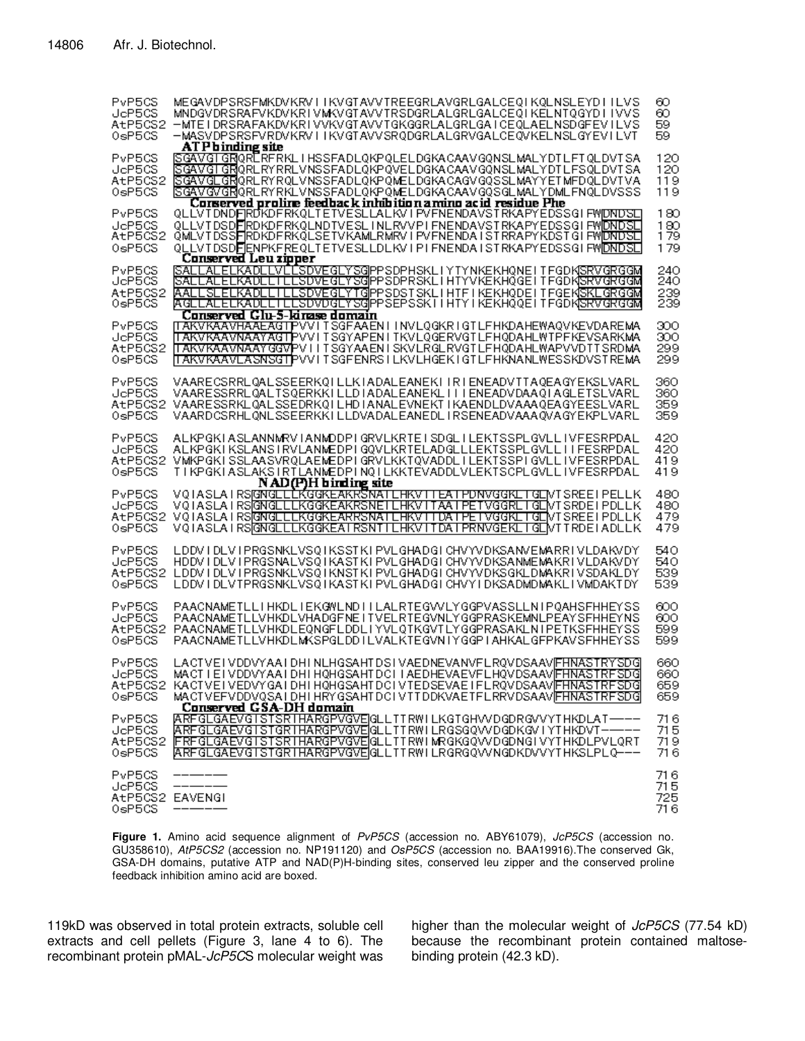| PvP5CS<br>JeP5CS<br>AtP5CS2<br>0sP5CS         | MEGAVDPSRSFMKDVKRVIIKVGTAVVTREEGRLAVGRLGALCEQIKQLNSLEYDIILVS<br>MNDGVDRSRAFVKDVKRIVMKVGTAVVTRSDGRLALGRLGALCEQIKELNTQGYDIIVVS<br>-MTEIDRSRAFAKDVKRIVVKVGTAVVTGKGGRLALGRLGAICEOLAELNSDGFEVILVS<br>-MASVDPSRSFVRDVKRVIIKVGTAVVSRODGRLALGRVGALCEOVKELNSLGYEVILVT<br>AT P b inding site                                              | 60<br>60<br>59<br>59         |
|-----------------------------------------------|---------------------------------------------------------------------------------------------------------------------------------------------------------------------------------------------------------------------------------------------------------------------------------------------------------------------------------|------------------------------|
| PvP5CS<br>JeP5CS<br>AtP5CS2<br>$0s$ P $5CS$   | ISGAVGTGRORLRFRKLIHSSFADLOKPOLELDGKACAAVGONSLMALYDTLFTOLDVTSA<br>SGAVGTGRORLRYRRLVNSSFADLQKPQVELDGKACAAVGQNSLMALYDTLFSQLDVTSA<br>ISGAVGLGRORLRYRQLVNSSFADLQKPQMELDGKACAGVGQSSLMAYYETMFDQLDVTVA<br>ISGAVGVGRORLRYRKLVNSSFADLOKPOMELDGKACAAVGOSGLMALYDMLFNOLDVSSS<br>Corserved prolire feedback inhibition amino acid residue Phe | 120<br>120<br>119<br>119     |
| PvP5CS<br>JeP5CS<br>AtP5CS2<br>0sP5CS         | QLLVTDNDFRDKDFRKQLTETVESLLALKVIPVFNENDAVSTRKAPYEDSSGIFWDNDSL]<br>QLLVTDSDFRDKDFRKQLNDTVESLTNLRVVPIFNENDAVSTRKAPYEDSSGIFW <mark>DNDSL</mark><br><u> QMLVTDSSFRDKDFRKQLSETVKAMLRMRVIPVFNENDAISTRRAPYKDSTGIFWDNDSL</u><br>QLLVTDSDFIENPKFREQLTETVESLLDLKVIPIFNENDAISTRKAPYEDSSGIFWIDNDSL<br>Conserved Leu zipper                   | 180<br>180<br>179<br>179     |
| PvP5CS<br>JeP5CS<br>AtP5CS2<br>0sP5CS         | SALLALELKADLLVLLSDVEGLYSG PPSDPHSKL YTYNKEKHQNE TFGDK SRVGRGGM<br>SALLALELKADLLTLLSDVEGLYSGPPSDPRSKLIHTYVKEKHQGEITFGDKSRVGRGGM<br>AALLSLELKADLLILLSDVEGLYTG PPSDSTSKLIHTFIKEKHQDEITFGEK SKLGRGGM<br><u> AGLLALELKADLLILLSDVDGLYSG PPSEPSSKIIHTYIKEKHQQEITFGDK SRVGRGGM</u><br>Conserved Glu-5-kirase domain                     | 240<br>240<br>239<br>239     |
| PvP5CS<br>JeP5CS<br>AtP5CS2<br>0sP5CS         | IT AK V KAAVHAAL AGTIP V VITSGE AALEN IIN VLOGKRIGT LEHKDAH EWAQ V KEVDARE MA<br>ITAKVKAAVNAAYAGTPVVITSGYAPENITKVLQGERVGTLFHQDAHLWTPFKEVSARKMA<br>ITAKVKAAVNAAYGGVPV IITSGYAAEN ISKVLRGLRVGTLFHQDAHLWAPVVDTTSRDMA<br>ITAKVKAAVLASNSGTPVVITSGFENRSILKVLHGEKIGTLFHKNANLWESSKDVSTREMA                                              | 300<br>300<br>299<br>299     |
| PvP5CS<br>JeP5CS<br>AtP5CS2<br>0sP5CS         | VAARECSRRLQALSSEERKOILLKIADALEANEKIIRIENEADVTTAQEAGYEKSLVARL<br>VAARESSRRLQALTSQERKKILLDIADALEANEKLIIIENEADVDAAQIAGLETSLVARL<br>VAARESSRKLQALSSEDRKQILHDIANALEVNEKTIKAENDLDVAAAQEAGYEESLVARL<br>VAARDCSRHLQNLSSEERKKILLDVADALEANEDLIRSENEADVAAAQVAGYEKPLVARL                                                                    | 360<br>360<br>359<br>359     |
| PvP5CS<br>JeP5CS<br>AtP5CS2<br>0sP5CS         | ALKPGKIASLANNMRVIANMDDPIGRVLKRTEISDGLILEKTSSPLGVLLIVFESRPDAL<br>ALKPGKIKSLANSIRVLANMEDPIGOVLKRTELADGLLLEKTSSPLGVLLIIFESRPDAL<br>VMKPGKISSLAASVRQLAEMEDPIGRVLKKTQVADDLILEKTSSPIGVLLIVFESRPDAL<br>TIKPGKIASLAKSIRTLANMEDPINQILKKTEVADDLVLEKTSCPLGVLLIVFESRPDAL<br>NAD(P)H birding site                                            | 420<br>420<br>419<br>419     |
| PvP5CS<br>JeP5CS<br>AtP5CS2<br>0sP5CS         | VQIASLA IRSIGNGLEEKGGKEAKRSNATEHKVTTEATPDNVGGKETGENTSREEIPELLK<br>VQIASLA IRSIGNGLLLKGGKEAKRSNETLHKVTTAA IPETVGGRLTGLIVTSRDEIPDLLK<br>VOIASLA IRSGNGELEKGGKEARRSNATEHKVTTDATPETVGGKETGEMTSREEIPDELK<br>VQIASLA IRS@NGLLLKGGKEA IRSNTILHKVITDA IPRNVGEKLIGLNTTRDEIADLLK.                                                         | 480<br>480<br>479<br>479     |
| PvP5CS<br>JeP5CS<br>AtP5CS2<br>0sP5CS         | LDDV I DLV I PRGSNKLVSO I KSSTKI PVLGHADGI CHVYVDKSANVEMARR I VLDAKVDY<br>HDDV I DLV I PRGSNALVSO I KASTKI PVLGHADGI CHVYVDKSANMEMAKR I VLDAKVDY<br>LDDV I DLV I PRGSNKLVSQ I KNSTK I PVLGHADGI CHVYVDKSGKLDMAKR I VSDAKLDY<br>LDDV I DLVTPRGSNKLVSO I KASTKI PVLGHADGI CHVY I DKSADMDMAKLI VMDAKTDY                            | 540<br>540<br>539<br>539     |
| PvP5CS<br>JeP5CS<br>AtP5CS2<br>$0s$ P5CS      | PAACNAMETLLIHKDLIEKGWLNDIILALRTEGVVLYGGPVASSLLNIPQAHSFHHEYSS<br>PAACNAMETLLVHKDLVHADGFNEITVELRTEGVNLYGGPRASKEMNLPEAYSFHHEYNS<br>PAACNAMETLLVHKDLEQNGFLDDLIYVLQTKGVTLYGGPRASAKLNIPETKSFHHEYSS<br>PAACNAMETLLVHKDLMKSPGLDDILVALKTEGVNIYGGPIAHKALGFPKAVSFHHEYSS                                                                    | ഌ<br>600<br>599<br>599       |
| PvP5CS<br>JeP5CS<br>0sP5CS                    | LACTVEI VDDVYAAI DHI NLHGSAHTDSI VAEDNEVANVFLRQVDSAAVIFHNASTRYSDGI<br>MACT IEIVDDVYAAIDHIHQHGSAHTDCIIAEDHEVAEVFLHQVDSAAVIFHNASTRFSDGI<br>A EPSCS2 KACTVEIVEDVYGAIDHIHQHGSAHTDCIVTEDSEVAEIFLRQVDSAAVFHNASTRFSDG<br>MACTVEFVDDVQSAIDHIHRYGSAHTDCIVTTDDKVAETFLRRVDSAAVFFHNASTRFSDGI                                                | 660<br>660<br>659<br>659     |
| PvP5CS<br>JcP5CS<br>AtP5CS2<br>0sP5CS         | Conserved GSA-DH domain<br>ARFGLGAEVGISTSRIHARGPVGVE GLLTTRWILKGTGHVVDGDRGVVYTHKDLAT—--<br>ARFGLGAEVGISTGRIHARGPVGVE GLLITRWILRGSGQVVDGDKGVIYTHKDVT-----<br>FRFGLGAEVGISTSRIHARGPVGVE GLLTTRWIMRGKGQVVDGDNGIVYTHKDLPVLQRT<br>ARFGLGAEVGISTGRIHARGPVGVE GLLTTRWILRGRGQVVNGDKDVVYTHKSLPLQ---                                      | 716<br>715<br>719.<br>716    |
| PvP5CS<br>JeP5CS<br>AtP5CS2 EAVENGI<br>0sP5CS |                                                                                                                                                                                                                                                                                                                                 | 716.<br>715.<br>725.<br>716. |

Figure 1. Amino acid sequence alignment of PvP5CS (accession no. ABY61079), JcP5CS (accession no. GU358610), AtP5CS2 (accession no. NP191120) and OsP5CS (accession no. BAA19916).The conserved Gk, GSA-DH domains, putative ATP and NAD(P)H-binding sites, conserved leu zipper and the conserved proline feedback inhibition amino acid are boxed.

119kD was observed in total protein extracts, soluble cell extracts and cell pellets (Figure 3, lane 4 to 6). The recombinant protein pMAL-JcP5CS molecular weight was higher than the molecular weight of JcP5CS (77.54 kD) because the recombinant protein contained maltosebinding protein (42.3 kD).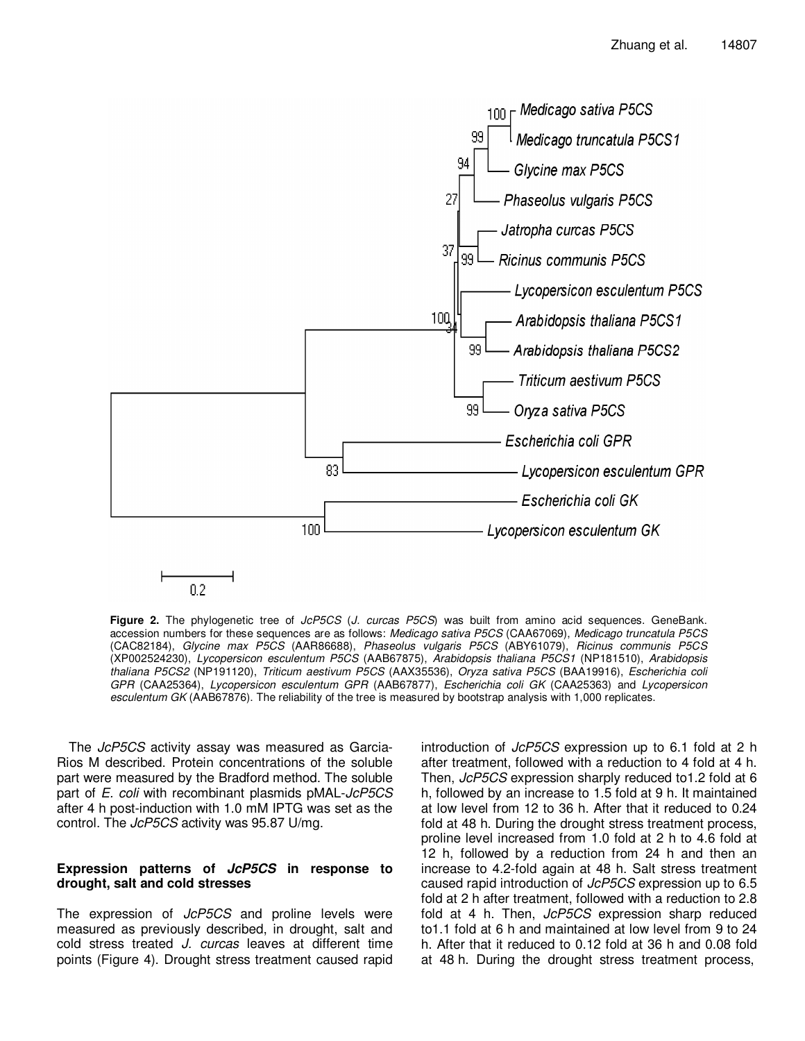

Figure 2. The phylogenetic tree of JcP5CS (J. curcas P5CS) was built from amino acid sequences. GeneBank. accession numbers for these sequences are as follows: Medicago sativa P5CS (CAA67069), Medicago truncatula P5CS (CAC82184), Glycine max P5CS (AAR86688), Phaseolus vulgaris P5CS (ABY61079), Ricinus communis P5CS (XP002524230), Lycopersicon esculentum P5CS (AAB67875), Arabidopsis thaliana P5CS1 (NP181510), Arabidopsis thaliana P5CS2 (NP191120), Triticum aestivum P5CS (AAX35536), Oryza sativa P5CS (BAA19916), Escherichia coli GPR (CAA25364), Lycopersicon esculentum GPR (AAB67877), Escherichia coli GK (CAA25363) and Lycopersicon esculentum GK (AAB67876). The reliability of the tree is measured by bootstrap analysis with 1,000 replicates.

The JcP5CS activity assay was measured as Garcia-Rios M described. Protein concentrations of the soluble part were measured by the Bradford method. The soluble part of E. coli with recombinant plasmids pMAL-JcP5CS after 4 h post-induction with 1.0 mM IPTG was set as the control. The JcP5CS activity was 95.87 U/mg.

## **Expression patterns of JcP5CS in response to drought, salt and cold stresses**

The expression of JcP5CS and proline levels were measured as previously described, in drought, salt and cold stress treated J. curcas leaves at different time points (Figure 4). Drought stress treatment caused rapid

introduction of JcP5CS expression up to 6.1 fold at 2 h after treatment, followed with a reduction to 4 fold at 4 h. Then, JcP5CS expression sharply reduced to 1.2 fold at 6 h, followed by an increase to 1.5 fold at 9 h. It maintained at low level from 12 to 36 h. After that it reduced to 0.24 fold at 48 h. During the drought stress treatment process, proline level increased from 1.0 fold at 2 h to 4.6 fold at 12 h, followed by a reduction from 24 h and then an increase to 4.2-fold again at 48 h. Salt stress treatment caused rapid introduction of JcP5CS expression up to 6.5 fold at 2 h after treatment, followed with a reduction to 2.8 fold at 4 h. Then, JcP5CS expression sharp reduced to1.1 fold at 6 h and maintained at low level from 9 to 24 h. After that it reduced to 0.12 fold at 36 h and 0.08 fold at 48 h. During the drought stress treatment process,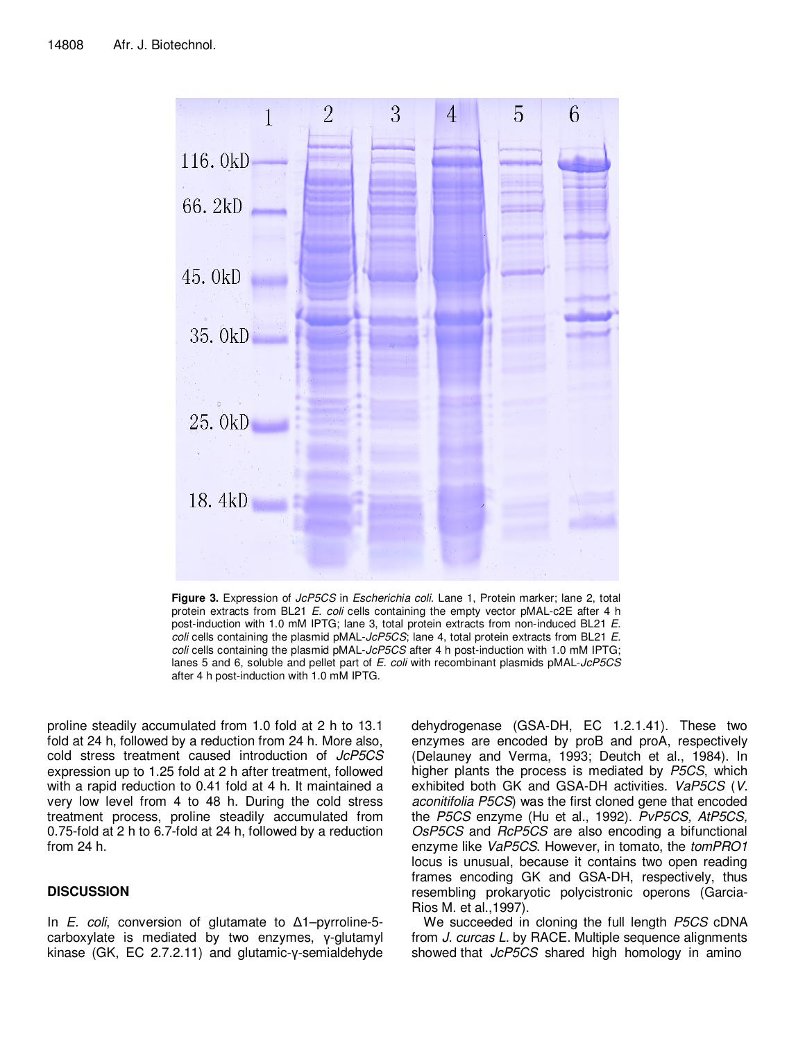

Figure 3. Expression of JcP5CS in Escherichia coli. Lane 1, Protein marker; lane 2, total protein extracts from BL21 E. coli cells containing the empty vector pMAL-c2E after 4 h post-induction with 1.0 mM IPTG; lane 3, total protein extracts from non-induced BL21 E. coli cells containing the plasmid pMAL-JcP5CS; lane 4, total protein extracts from BL21 E. coli cells containing the plasmid pMAL-JcP5CS after 4 h post-induction with 1.0 mM IPTG; lanes 5 and 6, soluble and pellet part of E. coli with recombinant plasmids pMAL-JcP5CS after 4 h post-induction with 1.0 mM IPTG.

proline steadily accumulated from 1.0 fold at 2 h to 13.1 fold at 24 h, followed by a reduction from 24 h. More also, cold stress treatment caused introduction of JcP5CS expression up to 1.25 fold at 2 h after treatment, followed with a rapid reduction to 0.41 fold at 4 h. It maintained a very low level from 4 to 48 h. During the cold stress treatment process, proline steadily accumulated from 0.75-fold at 2 h to 6.7-fold at 24 h, followed by a reduction from 24 h.

# **DISCUSSION**

In *E. coli*, conversion of glutamate to  $\Delta$ 1–pyrroline-5carboxylate is mediated by two enzymes, γ-glutamyl kinase (GK, EC 2.7.2.11) and glutamic-γ-semialdehyde

dehydrogenase (GSA-DH, EC 1.2.1.41). These two enzymes are encoded by proB and proA, respectively (Delauney and Verma, 1993; Deutch et al., 1984). In higher plants the process is mediated by P5CS, which exhibited both GK and GSA-DH activities. VaP5CS (V. aconitifolia P5CS) was the first cloned gene that encoded the P5CS enzyme (Hu et al., 1992). PvP5CS, AtP5CS, OsP5CS and RcP5CS are also encoding a bifunctional enzyme like VaP5CS. However, in tomato, the tomPRO1 locus is unusual, because it contains two open reading frames encoding GK and GSA-DH, respectively, thus resembling prokaryotic polycistronic operons (Garcia-Rios M. et al.,1997).

We succeeded in cloning the full length P5CS cDNA from J. curcas L. by RACE. Multiple sequence alignments showed that JcP5CS shared high homology in amino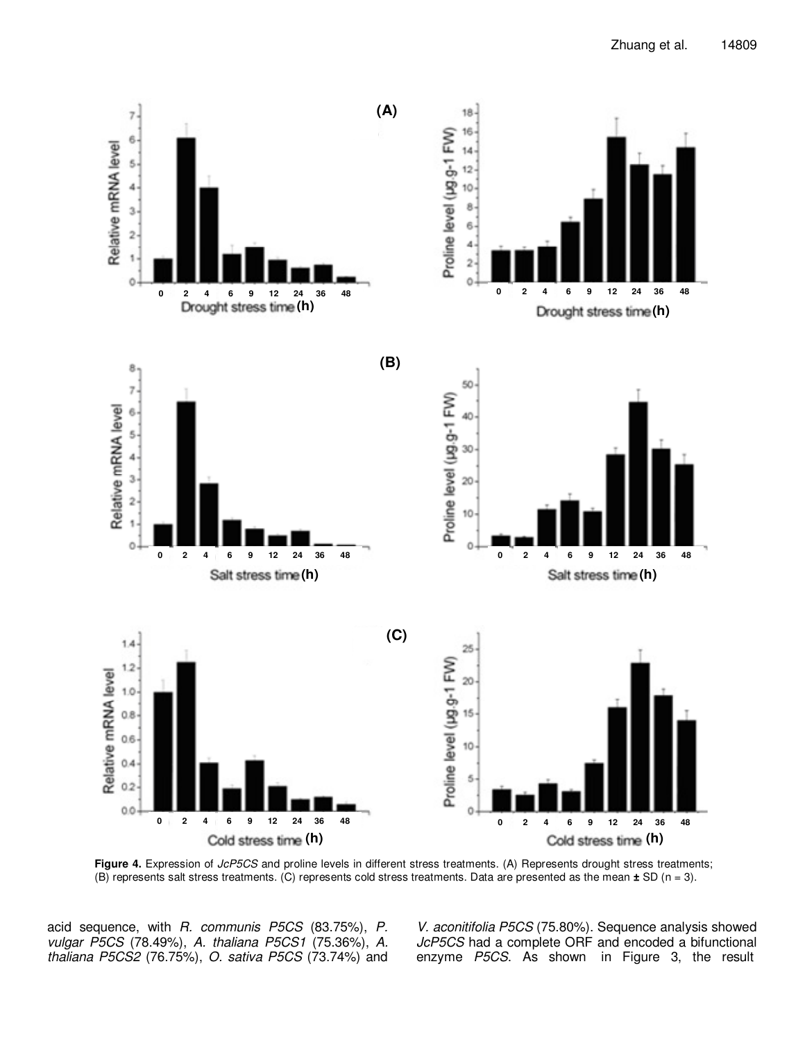

**Figure 4.** Expression of JcP5CS and proline levels in different stress treatments. (A) Represents drought stress treatments; (B) represents salt stress treatments. (C) represents cold stress treatments. Data are presented as the mean **±** SD (n = 3).

acid sequence, with R. communis P5CS (83.75%), P. vulgar P5CS (78.49%), A. thaliana P5CS1 (75.36%), A. thaliana P5CS2 (76.75%), O. sativa P5CS (73.74%) and

V. aconitifolia P5CS (75.80%). Sequence analysis showed JcP5CS had a complete ORF and encoded a bifunctional enzyme P5CS. As shown in Figure 3, the result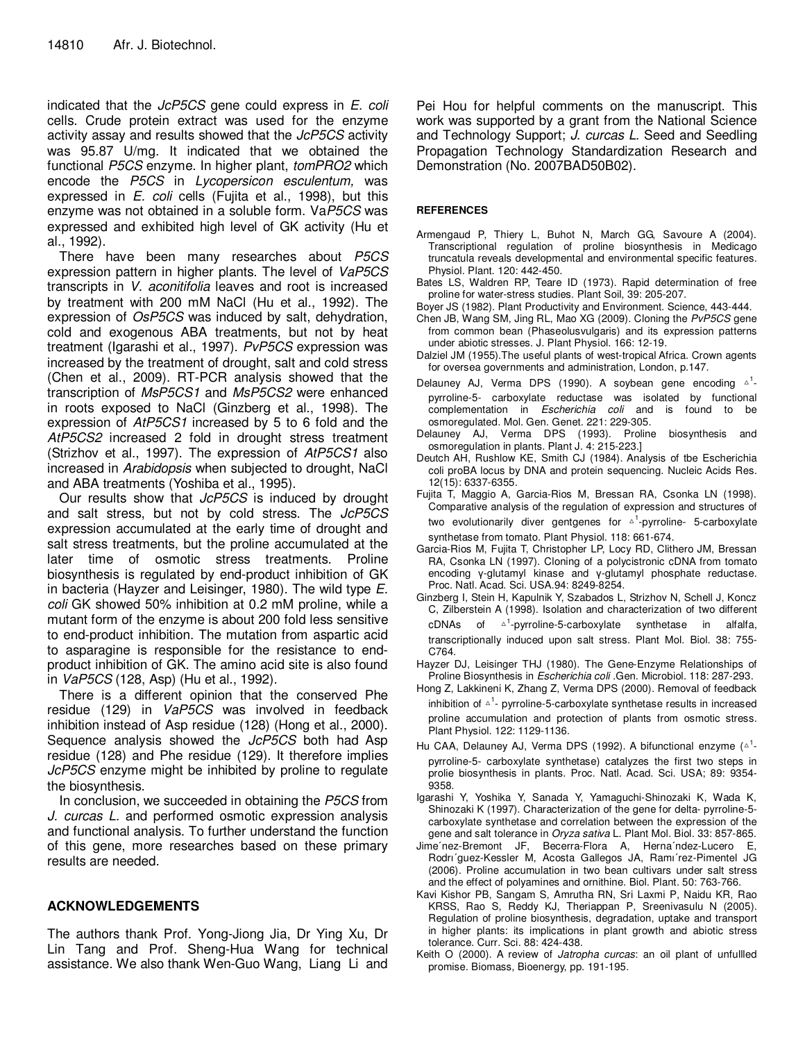indicated that the JcP5CS gene could express in E. coli cells. Crude protein extract was used for the enzyme activity assay and results showed that the JcP5CS activity was 95.87 U/mg. It indicated that we obtained the functional P5CS enzyme. In higher plant, tomPRO2 which encode the P5CS in Lycopersicon esculentum, was expressed in *E. coli* cells (Fujita et al., 1998), but this enzyme was not obtained in a soluble form. VaP5CS was expressed and exhibited high level of GK activity (Hu et al., 1992).

There have been many researches about P5CS expression pattern in higher plants. The level of VaP5CS transcripts in V. aconitifolia leaves and root is increased by treatment with 200 mM NaCl (Hu et al., 1992). The expression of OsP5CS was induced by salt, dehydration, cold and exogenous ABA treatments, but not by heat treatment (Igarashi et al., 1997). PvP5CS expression was increased by the treatment of drought, salt and cold stress (Chen et al., 2009). RT-PCR analysis showed that the transcription of MsP5CS1 and MsP5CS2 were enhanced in roots exposed to NaCl (Ginzberg et al., 1998). The expression of AtP5CS1 increased by 5 to 6 fold and the AtP5CS2 increased 2 fold in drought stress treatment (Strizhov et al., 1997). The expression of AtP5CS1 also increased in Arabidopsis when subjected to drought, NaCl and ABA treatments (Yoshiba et al., 1995).

Our results show that JcP5CS is induced by drought and salt stress, but not by cold stress. The JcP5CS expression accumulated at the early time of drought and salt stress treatments, but the proline accumulated at the later time of osmotic stress treatments. Proline biosynthesis is regulated by end-product inhibition of GK in bacteria (Hayzer and Leisinger, 1980). The wild type E. coli GK showed 50% inhibition at 0.2 mM proline, while a mutant form of the enzyme is about 200 fold less sensitive to end-product inhibition. The mutation from aspartic acid to asparagine is responsible for the resistance to endproduct inhibition of GK. The amino acid site is also found in VaP5CS (128, Asp) (Hu et al., 1992).

There is a different opinion that the conserved Phe residue (129) in VaP5CS was involved in feedback inhibition instead of Asp residue (128) (Hong et al., 2000). Sequence analysis showed the JcP5CS both had Asp residue (128) and Phe residue (129). It therefore implies JcP5CS enzyme might be inhibited by proline to regulate the biosynthesis.

In conclusion, we succeeded in obtaining the P5CS from J. curcas L. and performed osmotic expression analysis and functional analysis. To further understand the function of this gene, more researches based on these primary results are needed.

# **ACKNOWLEDGEMENTS**

The authors thank Prof. Yong-Jiong Jia, Dr Ying Xu, Dr Lin Tang and Prof. Sheng-Hua Wang for technical assistance. We also thank Wen-Guo Wang, Liang Li and Pei Hou for helpful comments on the manuscript. This work was supported by a grant from the National Science and Technology Support; J. curcas L. Seed and Seedling Propagation Technology Standardization Research and Demonstration (No. 2007BAD50B02).

## **REFERENCES**

- Armengaud P, Thiery L, Buhot N, March GG, Savoure A (2004). Transcriptional regulation of proline biosynthesis in Medicago truncatula reveals developmental and environmental specific features. Physiol. Plant. 120: 442-450.
- Bates LS, Waldren RP, Teare ID (1973). Rapid determination of free proline for water-stress studies. Plant Soil, 39: 205-207.
- Boyer JS (1982). Plant Productivity and Environment. Science, 443-444.
- Chen JB, Wang SM, Jing RL, Mao XG (2009). Cloning the PvP5CS gene from common bean (Phaseolusvulgaris) and its expression patterns under abiotic stresses. J. Plant Physiol. 166: 12-19.
- Dalziel JM (1955).The useful plants of west-tropical Africa. Crown agents for oversea governments and administration, London, p.147.
- Delauney AJ, Verma DPS (1990). A soybean gene encoding  $\triangle^1$ pyrroline-5- carboxylate reductase was isolated by functional complementation in *Escherichia coli* and is found to be osmoregulated. Mol. Gen. Genet. 221: 229-305.
- Delauney AJ, Verma DPS (1993). Proline biosynthesis and osmoregulation in plants. Plant J. 4: 215-223.]
- Deutch AH, Rushlow KE, Smith CJ (1984). Analysis of tbe Escherichia coli proBA locus by DNA and protein sequencing. Nucleic Acids Res. 12(15): 6337-6355.
- Fujita T, Maggio A, Garcia-Rios M, Bressan RA, Csonka LN (1998). Comparative analysis of the regulation of expression and structures of two evolutionarily diver gentgenes for  $\triangle^1$ -pyrroline- 5-carboxylate synthetase from tomato. Plant Physiol. 118: 661-674.
- Garcia-Rios M, Fujita T, Christopher LP, Locy RD, Clithero JM, Bressan RA, Csonka LN (1997). Cloning of a polycistronic cDNA from tomato encoding γ-glutamyl kinase and γ-glutamyl phosphate reductase. Proc. Natl. Acad. Sci. USA.94: 8249-8254.
- Ginzberg I, Stein H, Kapulnik Y, Szabados L, Strizhov N, Schell J, Koncz C, Zilberstein A (1998). Isolation and characterization of two different cDNAs of <sup>1</sup>-pyrroline-5-carboxylate synthetase in alfalfa, transcriptionally induced upon salt stress. Plant Mol. Biol. 38: 755- C764.
- Hayzer DJ, Leisinger THJ (1980). The Gene-Enzyme Relationships of Proline Biosynthesis in Escherichia coli .Gen. Microbiol. 118: 287-293.
- Hong Z, Lakkineni K, Zhang Z, Verma DPS (2000). Removal of feedback inhibition of  $\triangle^1$ - pyrroline-5-carboxylate synthetase results in increased proline accumulation and protection of plants from osmotic stress. Plant Physiol. 122: 1129-1136.
- Hu CAA, Delauney AJ, Verma DPS (1992). A bifunctional enzyme ( $\triangle^{1}$ pyrroline-5- carboxylate synthetase) catalyzes the first two steps in prolie biosynthesis in plants. Proc. Natl. Acad. Sci. USA; 89: 9354- 9358.
- Igarashi Y, Yoshika Y, Sanada Y, Yamaguchi-Shinozaki K, Wada K, Shinozaki K (1997). Characterization of the gene for delta- pyrroline-5 carboxylate synthetase and correlation between the expression of the gene and salt tolerance in Oryza sativa L. Plant Mol. Biol. 33: 857-865.
- Jime'nez-Bremont JF, Becerra-Flora A, Herna'ndez-Lucero Rodrı´guez-Kessler M, Acosta Gallegos JA, Ramı´rez-Pimentel JG (2006). Proline accumulation in two bean cultivars under salt stress and the effect of polyamines and ornithine. Biol. Plant. 50: 763-766.
- Kavi Kishor PB, Sangam S, Amrutha RN, Sri Laxmi P, Naidu KR, Rao KRSS, Rao S, Reddy KJ, Theriappan P, Sreenivasulu N (2005). Regulation of proline biosynthesis, degradation, uptake and transport in higher plants: its implications in plant growth and abiotic stress tolerance. Curr. Sci. 88: 424-438.
- Keith O (2000). A review of Jatropha curcas: an oil plant of unfullled promise. Biomass, Bioenergy, pp. 191-195.